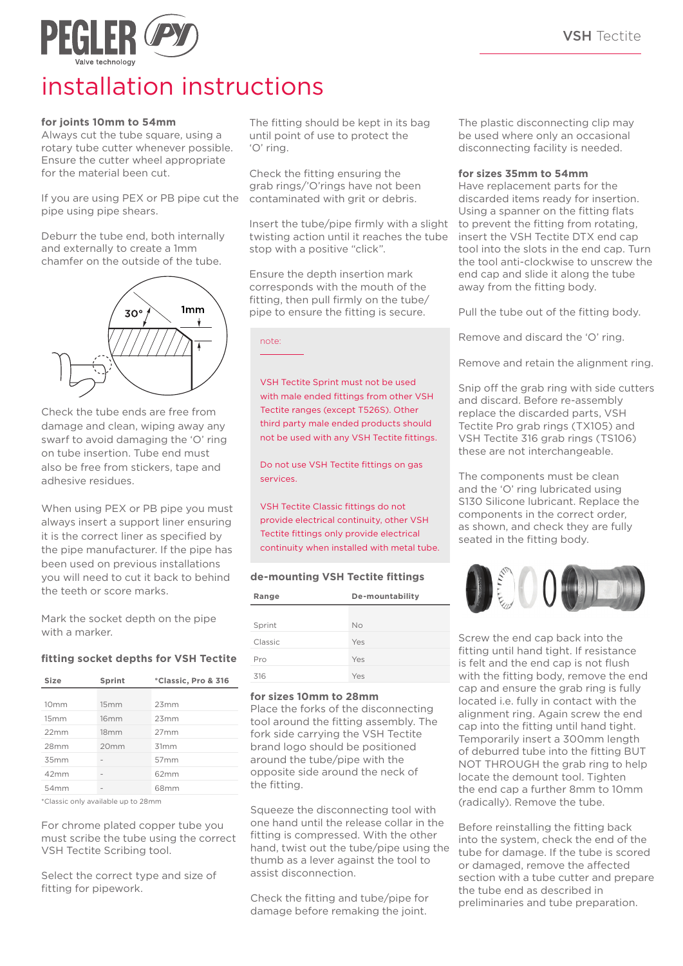

# installation instructions

### **for joints 10mm to 54mm**

Always cut the tube square, using a rotary tube cutter whenever possible. Ensure the cutter wheel appropriate for the material been cut.

If you are using PEX or PB pipe cut the pipe using pipe shears.

Deburr the tube end, both internally and externally to create a 1mm chamfer on the outside of the tube.



Check the tube ends are free from damage and clean, wiping away any swarf to avoid damaging the 'O' ring on tube insertion. Tube end must also be free from stickers, tape and adhesive residues.

When using PEX or PB pipe you must always insert a support liner ensuring it is the correct liner as specified by the pipe manufacturer. If the pipe has been used on previous installations you will need to cut it back to behind the teeth or score marks.

Mark the socket depth on the pipe with a marker.

# **fitting socket depths for VSH Tectite**

| Size             | Sprint           | *Classic, Pro & 316 |  |  |
|------------------|------------------|---------------------|--|--|
|                  |                  |                     |  |  |
| 10 <sub>mm</sub> | 15mm             | 23mm                |  |  |
| 15mm             | 16mm             | 23mm                |  |  |
| 22mm             | 18 <sub>mm</sub> | 27 <sub>mm</sub>    |  |  |
| 28mm             | 20 <sub>mm</sub> | 31mm                |  |  |
| 35mm             |                  | 57 <sub>mm</sub>    |  |  |
| 42mm             |                  | 62mm                |  |  |
| 54mm             |                  | 68mm                |  |  |
|                  |                  |                     |  |  |

\*Classic only available up to 28mm

For chrome plated copper tube you must scribe the tube using the correct VSH Tectite Scribing tool.

Select the correct type and size of fitting for pipework.

The fitting should be kept in its bag until point of use to protect the 'O' ring.

Check the fitting ensuring the grab rings/'O'rings have not been contaminated with grit or debris.

Insert the tube/pipe firmly with a slight twisting action until it reaches the tube stop with a positive "click".

Ensure the depth insertion mark corresponds with the mouth of the fitting, then pull firmly on the tube/ pipe to ensure the fitting is secure.

note:

VSH Tectite Sprint must not be used with male ended fittings from other VSH Tectite ranges (except T526S). Other third party male ended products should not be used with any VSH Tectite fittings.

Do not use VSH Tectite fittings on gas services.

VSH Tectite Classic fittings do not provide electrical continuity, other VSH Tectite fittings only provide electrical continuity when installed with metal tube.

# **de-mounting VSH Tectite fittings**

| Range   | De-mountability |  |  |  |
|---------|-----------------|--|--|--|
| Sprint  | No              |  |  |  |
| Classic | Yes             |  |  |  |
| Pro     | Yes             |  |  |  |
| 316     | Yes             |  |  |  |

### **for sizes 10mm to 28mm**

Place the forks of the disconnecting tool around the fitting assembly. The fork side carrying the VSH Tectite brand logo should be positioned around the tube/pipe with the opposite side around the neck of the fitting.

Squeeze the disconnecting tool with one hand until the release collar in the fitting is compressed. With the other hand, twist out the tube/pipe using the thumb as a lever against the tool to assist disconnection.

Check the fitting and tube/pipe for damage before remaking the joint.

The plastic disconnecting clip may be used where only an occasional disconnecting facility is needed.

#### **for sizes 35mm to 54mm**

Have replacement parts for the discarded items ready for insertion. Using a spanner on the fitting flats to prevent the fitting from rotating, insert the VSH Tectite DTX end cap tool into the slots in the end cap. Turn the tool anti-clockwise to unscrew the end cap and slide it along the tube away from the fitting body.

Pull the tube out of the fitting body.

Remove and discard the 'O' ring.

Remove and retain the alignment ring.

Snip off the grab ring with side cutters and discard. Before re-assembly replace the discarded parts, VSH Tectite Pro grab rings (TX105) and VSH Tectite 316 grab rings (TS106) these are not interchangeable.

The components must be clean and the 'O' ring lubricated using S130 Silicone lubricant. Replace the components in the correct order, as shown, and check they are fully seated in the fitting body.



Screw the end cap back into the fitting until hand tight. If resistance is felt and the end cap is not flush with the fitting body, remove the end cap and ensure the grab ring is fully located i.e. fully in contact with the alignment ring. Again screw the end cap into the fitting until hand tight. Temporarily insert a 300mm length of deburred tube into the fitting BUT NOT THROUGH the grab ring to help locate the demount tool. Tighten the end cap a further 8mm to 10mm (radically). Remove the tube.

Before reinstalling the fitting back into the system, check the end of the tube for damage. If the tube is scored or damaged, remove the affected section with a tube cutter and prepare the tube end as described in preliminaries and tube preparation.